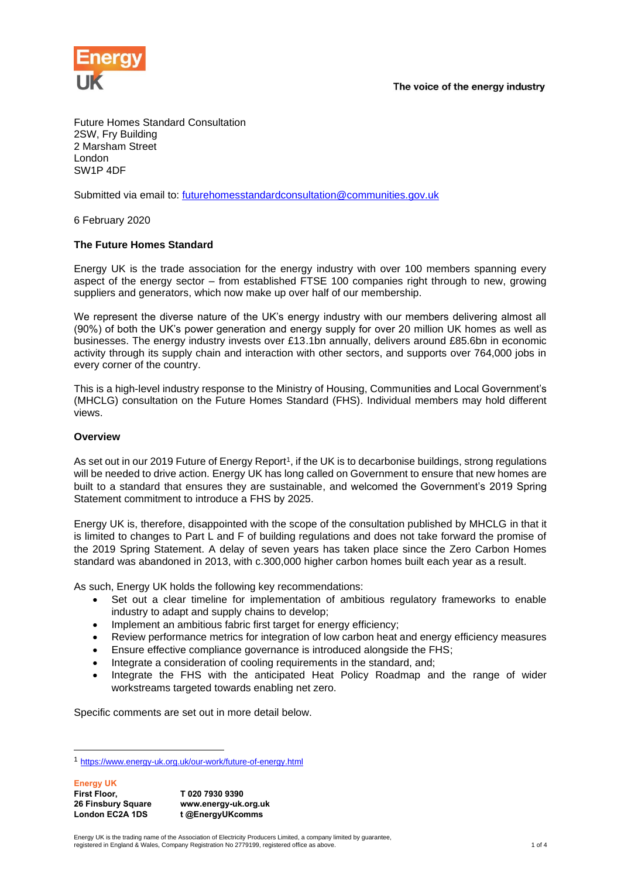

Future Homes Standard Consultation 2SW, Fry Building 2 Marsham Street London SW1P 4DF

Submitted via email to: [futurehomesstandardconsultation@communities.gov.uk](mailto:futurehomesstandardconsultation@communities.gov.uk) 

6 February 2020

#### **The Future Homes Standard**

Energy UK is the trade association for the energy industry with over 100 members spanning every aspect of the energy sector – from established FTSE 100 companies right through to new, growing suppliers and generators, which now make up over half of our membership.

We represent the diverse nature of the UK's energy industry with our members delivering almost all (90%) of both the UK's power generation and energy supply for over 20 million UK homes as well as businesses. The energy industry invests over £13.1bn annually, delivers around £85.6bn in economic activity through its supply chain and interaction with other sectors, and supports over 764,000 jobs in every corner of the country.

This is a high-level industry response to the Ministry of Housing, Communities and Local Government's (MHCLG) consultation on the Future Homes Standard (FHS). Individual members may hold different views.

#### **Overview**

As set out in our 2019 Future of Energy Report<sup>1</sup>, if the UK is to decarbonise buildings, strong regulations will be needed to drive action. Energy UK has long called on Government to ensure that new homes are built to a standard that ensures they are sustainable, and welcomed the Government's 2019 Spring Statement commitment to introduce a FHS by 2025.

Energy UK is, therefore, disappointed with the scope of the consultation published by MHCLG in that it is limited to changes to Part L and F of building regulations and does not take forward the promise of the 2019 Spring Statement. A delay of seven years has taken place since the Zero Carbon Homes standard was abandoned in 2013, with c.300,000 higher carbon homes built each year as a result.

As such, Energy UK holds the following key recommendations:

- Set out a clear timeline for implementation of ambitious regulatory frameworks to enable industry to adapt and supply chains to develop;
- Implement an ambitious fabric first target for energy efficiency;
- Review performance metrics for integration of low carbon heat and energy efficiency measures
- Ensure effective compliance governance is introduced alongside the FHS:
- Integrate a consideration of cooling requirements in the standard, and;
- Integrate the FHS with the anticipated Heat Policy Roadmap and the range of wider workstreams targeted towards enabling net zero.

Specific comments are set out in more detail below.

**Energy UK First Floor, 26 Finsbury Square London EC2A 1DS T 020 7930 9390 www.energy-uk.org.uk t @EnergyUKcomms**

Energy UK is the trading name of the Association of Electricity Producers Limited, a company limited by guarantee, registered in England & Wales, Company Registration No 2779199, registered office as above. 1 of 4

<sup>1</sup> <https://www.energy-uk.org.uk/our-work/future-of-energy.html>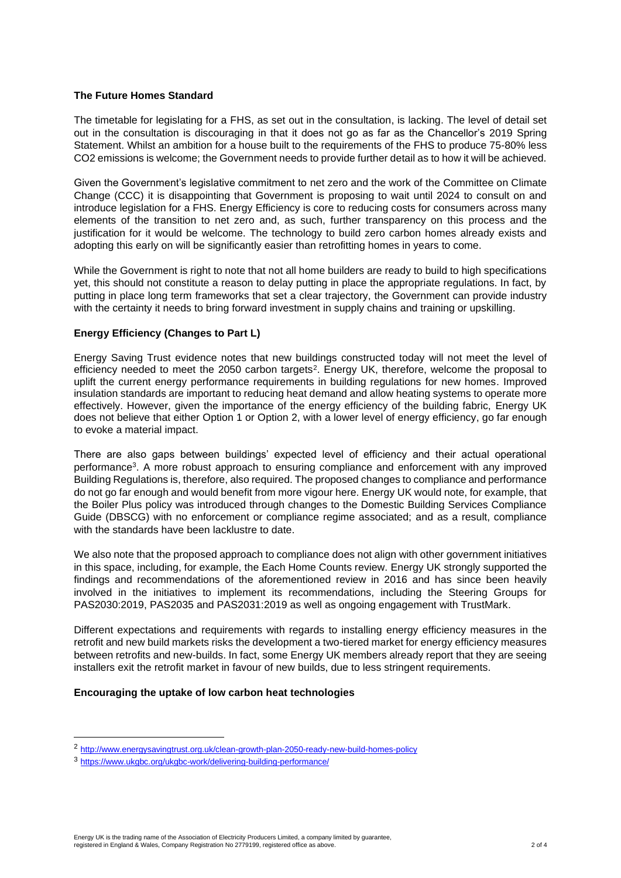#### **The Future Homes Standard**

The timetable for legislating for a FHS, as set out in the consultation, is lacking. The level of detail set out in the consultation is discouraging in that it does not go as far as the Chancellor's 2019 Spring Statement. Whilst an ambition for a house built to the requirements of the FHS to produce 75-80% less CO2 emissions is welcome; the Government needs to provide further detail as to how it will be achieved.

Given the Government's legislative commitment to net zero and the work of the Committee on Climate Change (CCC) it is disappointing that Government is proposing to wait until 2024 to consult on and introduce legislation for a FHS. Energy Efficiency is core to reducing costs for consumers across many elements of the transition to net zero and, as such, further transparency on this process and the justification for it would be welcome. The technology to build zero carbon homes already exists and adopting this early on will be significantly easier than retrofitting homes in years to come.

While the Government is right to note that not all home builders are ready to build to high specifications yet, this should not constitute a reason to delay putting in place the appropriate regulations. In fact, by putting in place long term frameworks that set a clear trajectory, the Government can provide industry with the certainty it needs to bring forward investment in supply chains and training or upskilling.

# **Energy Efficiency (Changes to Part L)**

Energy Saving Trust evidence notes that new buildings constructed today will not meet the level of efficiency needed to meet the 2050 carbon targets<sup>2</sup>. Energy UK, therefore, welcome the proposal to uplift the current energy performance requirements in building regulations for new homes. Improved insulation standards are important to reducing heat demand and allow heating systems to operate more effectively. However, given the importance of the energy efficiency of the building fabric, Energy UK does not believe that either Option 1 or Option 2, with a lower level of energy efficiency, go far enough to evoke a material impact.

There are also gaps between buildings' expected level of efficiency and their actual operational performance<sup>3</sup>. A more robust approach to ensuring compliance and enforcement with any improved Building Regulations is, therefore, also required. The proposed changes to compliance and performance do not go far enough and would benefit from more vigour here. Energy UK would note, for example, that the Boiler Plus policy was introduced through changes to the Domestic Building Services Compliance Guide (DBSCG) with no enforcement or compliance regime associated; and as a result, compliance with the standards have been lacklustre to date.

We also note that the proposed approach to compliance does not align with other government initiatives in this space, including, for example, the Each Home Counts review. Energy UK strongly supported the findings and recommendations of the aforementioned review in 2016 and has since been heavily involved in the initiatives to implement its recommendations, including the Steering Groups for PAS2030:2019, PAS2035 and PAS2031:2019 as well as ongoing engagement with TrustMark.

Different expectations and requirements with regards to installing energy efficiency measures in the retrofit and new build markets risks the development a two-tiered market for energy efficiency measures between retrofits and new-builds. In fact, some Energy UK members already report that they are seeing installers exit the retrofit market in favour of new builds, due to less stringent requirements.

### **Encouraging the uptake of low carbon heat technologies**

<sup>2</sup> <http://www.energysavingtrust.org.uk/clean-growth-plan-2050-ready-new-build-homes-policy>

<sup>3</sup> <https://www.ukgbc.org/ukgbc-work/delivering-building-performance/>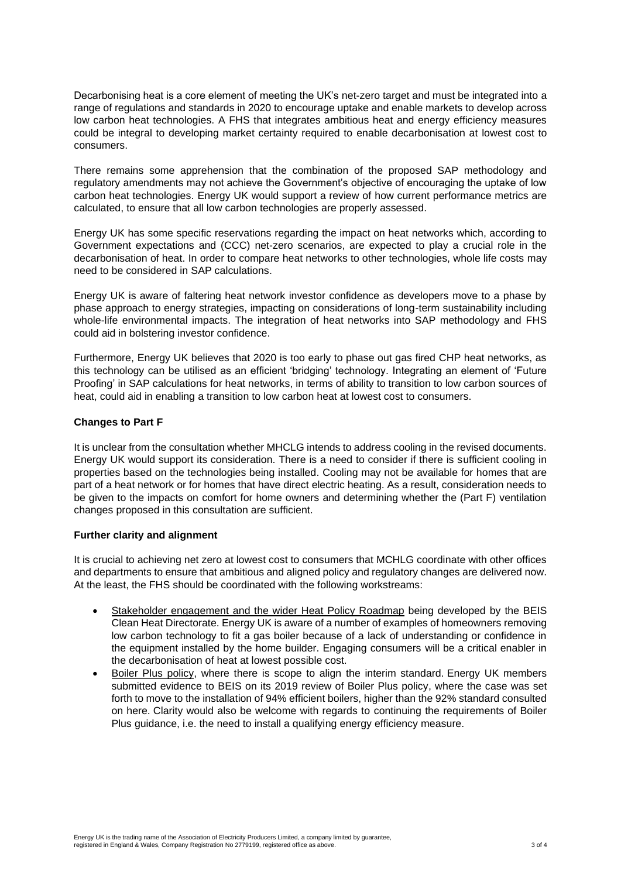Decarbonising heat is a core element of meeting the UK's net-zero target and must be integrated into a range of regulations and standards in 2020 to encourage uptake and enable markets to develop across low carbon heat technologies. A FHS that integrates ambitious heat and energy efficiency measures could be integral to developing market certainty required to enable decarbonisation at lowest cost to consumers.

There remains some apprehension that the combination of the proposed SAP methodology and regulatory amendments may not achieve the Government's objective of encouraging the uptake of low carbon heat technologies. Energy UK would support a review of how current performance metrics are calculated, to ensure that all low carbon technologies are properly assessed.

Energy UK has some specific reservations regarding the impact on heat networks which, according to Government expectations and (CCC) net-zero scenarios, are expected to play a crucial role in the decarbonisation of heat. In order to compare heat networks to other technologies, whole life costs may need to be considered in SAP calculations.

Energy UK is aware of faltering heat network investor confidence as developers move to a phase by phase approach to energy strategies, impacting on considerations of long-term sustainability including whole-life environmental impacts. The integration of heat networks into SAP methodology and FHS could aid in bolstering investor confidence.

Furthermore, Energy UK believes that 2020 is too early to phase out gas fired CHP heat networks, as this technology can be utilised as an efficient 'bridging' technology. Integrating an element of 'Future Proofing' in SAP calculations for heat networks, in terms of ability to transition to low carbon sources of heat, could aid in enabling a transition to low carbon heat at lowest cost to consumers.

# **Changes to Part F**

It is unclear from the consultation whether MHCLG intends to address cooling in the revised documents. Energy UK would support its consideration. There is a need to consider if there is sufficient cooling in properties based on the technologies being installed. Cooling may not be available for homes that are part of a heat network or for homes that have direct electric heating. As a result, consideration needs to be given to the impacts on comfort for home owners and determining whether the (Part F) ventilation changes proposed in this consultation are sufficient.

# **Further clarity and alignment**

It is crucial to achieving net zero at lowest cost to consumers that MCHLG coordinate with other offices and departments to ensure that ambitious and aligned policy and regulatory changes are delivered now. At the least, the FHS should be coordinated with the following workstreams:

- Stakeholder engagement and the wider Heat Policy Roadmap being developed by the BEIS Clean Heat Directorate. Energy UK is aware of a number of examples of homeowners removing low carbon technology to fit a gas boiler because of a lack of understanding or confidence in the equipment installed by the home builder. Engaging consumers will be a critical enabler in the decarbonisation of heat at lowest possible cost.
- Boiler Plus policy, where there is scope to align the interim standard. Energy UK members submitted evidence to BEIS on its 2019 review of Boiler Plus policy, where the case was set forth to move to the installation of 94% efficient boilers, higher than the 92% standard consulted on here. Clarity would also be welcome with regards to continuing the requirements of Boiler Plus guidance, i.e. the need to install a qualifying energy efficiency measure.